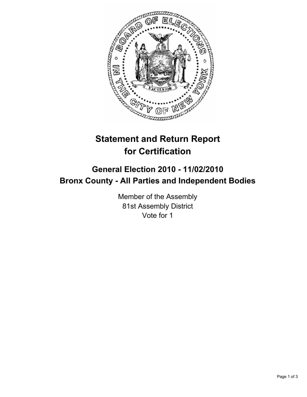

## **Statement and Return Report for Certification**

## **General Election 2010 - 11/02/2010 Bronx County - All Parties and Independent Bodies**

Member of the Assembly 81st Assembly District Vote for 1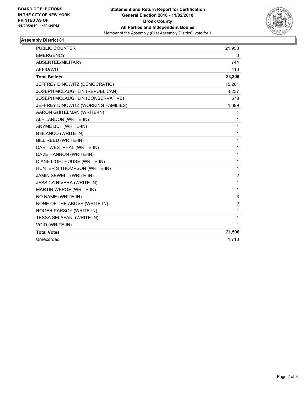

## **Assembly District 81**

| <b>PUBLIC COUNTER</b>               | 21,958         |
|-------------------------------------|----------------|
| <b>EMERGENCY</b>                    | 0              |
| ABSENTEE/MILITARY                   | 744            |
| <b>AFFIDAVIT</b>                    | 410            |
| <b>Total Ballots</b>                | 23,309         |
| JEFFREY DINOWITZ (DEMOCRATIC)       | 15,261         |
| JOSEPH MCLAUGHLIN (REPUBLICAN)      | 4,237          |
| JOSEPH MCLAUGHLIN (CONSERVATIVE)    | 678            |
| JEFFREY DINOWITZ (WORKING FAMILIES) | 1,399          |
| AARON GHITELMAN (WRITE-IN)          | 1              |
| ALF LANDON (WRITE-IN)               | 1              |
| ANYME BUT (WRITE-IN)                | $\mathbf{1}$   |
| <b>B BLANCO (WRITE-IN)</b>          | 1              |
| <b>BILL REED (WRITE-IN)</b>         | $\mathbf 1$    |
| DART WESTPHAL (WRITE-IN)            | $\mathbf{1}$   |
| DAVE HANNON (WRITE-IN)              | 1              |
| DIANE LIGHTHOUSE (WRITE-IN)         | $\mathbf{1}$   |
| HUNTER S THOMPSON (WRITE-IN)        | $\mathbf{1}$   |
| JAMIN SEWELL (WRITE-IN)             | $\overline{2}$ |
| <b>JESSICA RIVERA (WRITE-IN)</b>    | $\mathbf{1}$   |
| MARTIN WEPOE (WRITE-IN)             | $\mathbf{1}$   |
| NO NAME (WRITE-IN)                  | 3              |
| NONE OF THE ABOVE (WRITE-IN)        | $\overline{2}$ |
| ROGER PARSOY (WRITE-IN)             | 1              |
| <b>TESSA SELAFANI (WRITE-IN)</b>    | 1              |
| <b>VOID (WRITE-IN)</b>              | $\mathbf{1}$   |
| <b>Total Votes</b>                  | 21,596         |
| Unrecorded                          | 1,713          |